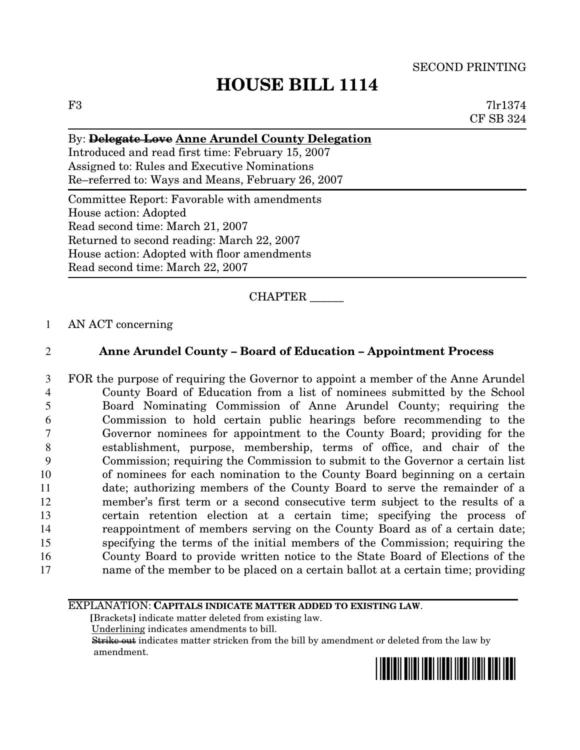### SECOND PRINTING

# **HOUSE BILL 1114**

F3 7lr1374 CF SB 324

### By: **Delegate Love Anne Arundel County Delegation** Introduced and read first time: February 15, 2007

Assigned to: Rules and Executive Nominations Re–referred to: Ways and Means, February 26, 2007

Committee Report: Favorable with amendments House action: Adopted Read second time: March 21, 2007 Returned to second reading: March 22, 2007 House action: Adopted with floor amendments Read second time: March 22, 2007

CHAPTER \_\_\_\_\_\_

1 AN ACT concerning

# 2 **Anne Arundel County – Board of Education – Appointment Process**

 FOR the purpose of requiring the Governor to appoint a member of the Anne Arundel County Board of Education from a list of nominees submitted by the School Board Nominating Commission of Anne Arundel County; requiring the Commission to hold certain public hearings before recommending to the Governor nominees for appointment to the County Board; providing for the establishment, purpose, membership, terms of office, and chair of the Commission; requiring the Commission to submit to the Governor a certain list of nominees for each nomination to the County Board beginning on a certain date; authorizing members of the County Board to serve the remainder of a member's first term or a second consecutive term subject to the results of a certain retention election at a certain time; specifying the process of reappointment of members serving on the County Board as of a certain date; specifying the terms of the initial members of the Commission; requiring the County Board to provide written notice to the State Board of Elections of the name of the member to be placed on a certain ballot at a certain time; providing

#### EXPLANATION: **CAPITALS INDICATE MATTER ADDED TO EXISTING LAW**.

**[**Brackets**]** indicate matter deleted from existing law. Underlining indicates amendments to bill. Strike out indicates matter stricken from the bill by amendment or deleted from the law by amendment.

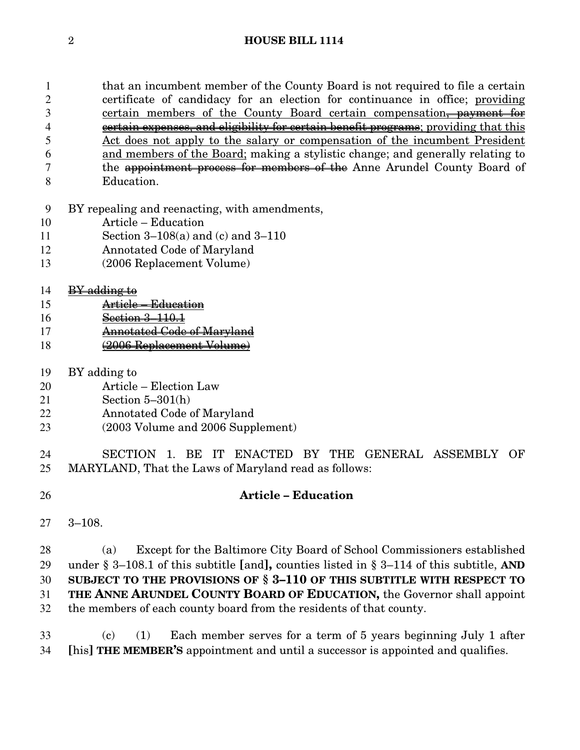that an incumbent member of the County Board is not required to file a certain certificate of candidacy for an election for continuance in office; providing 3 certain members of the County Board certain compensation, payment for 4 certain expenses, and eligibility for certain benefit programs; providing that this Act does not apply to the salary or compensation of the incumbent President and members of the Board; making a stylistic change; and generally relating to 7 the appointment process for members of the Anne Arundel County Board of Education.

- BY repealing and reenacting, with amendments,
- Article Education
- Section 3–108(a) and (c) and 3–110
- Annotated Code of Maryland
- (2006 Replacement Volume)

# BY adding to

- Article Education
- Section 3–110.1
- Annotated Code of Maryland
- (2006 Replacement Volume)
- BY adding to
- Article Election Law
- Section 5–301(h)
- Annotated Code of Maryland
- (2003 Volume and 2006 Supplement)
- SECTION 1. BE IT ENACTED BY THE GENERAL ASSEMBLY OF MARYLAND, That the Laws of Maryland read as follows:
- **Article – Education**
- 3–108.

 (a) Except for the Baltimore City Board of School Commissioners established under § 3–108.1 of this subtitle **[**and**],** counties listed in § 3–114 of this subtitle, **AND SUBJECT TO THE PROVISIONS OF § 3–110 OF THIS SUBTITLE WITH RESPECT TO THE ANNE ARUNDEL COUNTY BOARD OF EDUCATION,** the Governor shall appoint the members of each county board from the residents of that county.

 (c) (1) Each member serves for a term of 5 years beginning July 1 after **[**his**] THE MEMBER'S** appointment and until a successor is appointed and qualifies.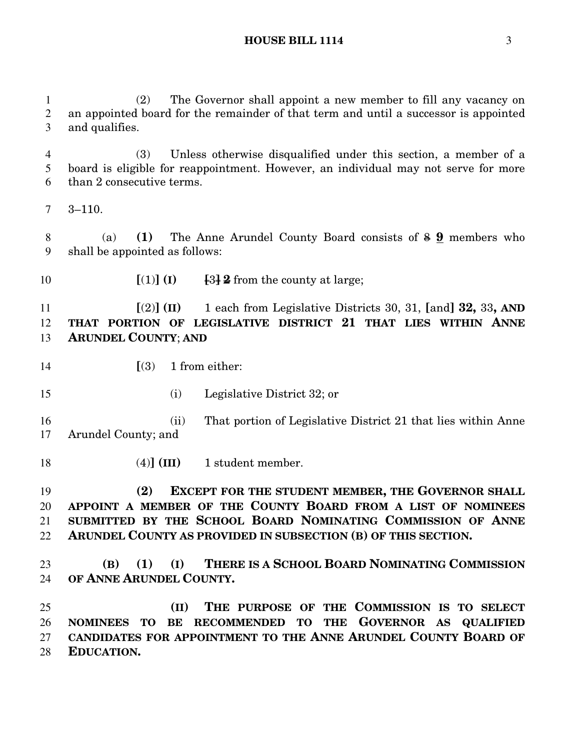(2) The Governor shall appoint a new member to fill any vacancy on an appointed board for the remainder of that term and until a successor is appointed and qualifies.

 (3) Unless otherwise disqualified under this section, a member of a board is eligible for reappointment. However, an individual may not serve for more than 2 consecutive terms.

3–110.

 (a) **(1)** The Anne Arundel County Board consists of 8 **9** members who shall be appointed as follows:

**[**(1)**] (I) [**3**] 2** from the county at large;

 **[**(2)**] (II)** 1 each from Legislative Districts 30, 31, **[**and**] 32,** 33**, AND THAT PORTION OF LEGISLATIVE DISTRICT 21 THAT LIES WITHIN ANNE ARUNDEL COUNTY**; **AND**

**[**(3) 1 from either:

(i) Legislative District 32; or

 (ii) That portion of Legislative District 21 that lies within Anne Arundel County; and

(4)**] (III)** 1 student member.

 **(2) EXCEPT FOR THE STUDENT MEMBER, THE GOVERNOR SHALL APPOINT A MEMBER OF THE COUNTY BOARD FROM A LIST OF NOMINEES SUBMITTED BY THE SCHOOL BOARD NOMINATING COMMISSION OF ANNE ARUNDEL COUNTY AS PROVIDED IN SUBSECTION (B) OF THIS SECTION.**

 **(B) (1) (I) THERE IS A SCHOOL BOARD NOMINATING COMMISSION OF ANNE ARUNDEL COUNTY.**

 **(II) THE PURPOSE OF THE COMMISSION IS TO SELECT NOMINEES TO BE RECOMMENDED TO THE GOVERNOR AS QUALIFIED CANDIDATES FOR APPOINTMENT TO THE ANNE ARUNDEL COUNTY BOARD OF EDUCATION.**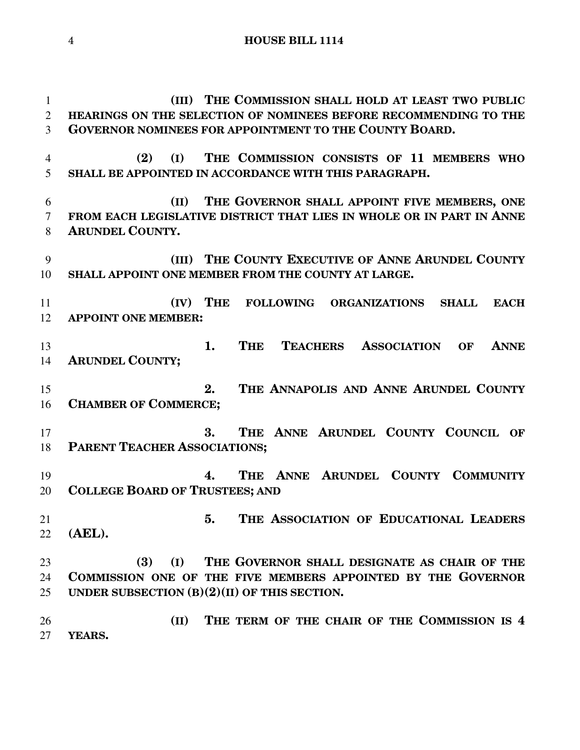**(III) THE COMMISSION SHALL HOLD AT LEAST TWO PUBLIC HEARINGS ON THE SELECTION OF NOMINEES BEFORE RECOMMENDING TO THE GOVERNOR NOMINEES FOR APPOINTMENT TO THE COUNTY BOARD. (2) (I) THE COMMISSION CONSISTS OF 11 MEMBERS WHO SHALL BE APPOINTED IN ACCORDANCE WITH THIS PARAGRAPH. (II) THE GOVERNOR SHALL APPOINT FIVE MEMBERS, ONE FROM EACH LEGISLATIVE DISTRICT THAT LIES IN WHOLE OR IN PART IN ANNE ARUNDEL COUNTY. (III) THE COUNTY EXECUTIVE OF ANNE ARUNDEL COUNTY SHALL APPOINT ONE MEMBER FROM THE COUNTY AT LARGE. (IV) THE FOLLOWING ORGANIZATIONS SHALL EACH APPOINT ONE MEMBER: 1. THE TEACHERS ASSOCIATION OF ANNE ARUNDEL COUNTY; 2. THE ANNAPOLIS AND ANNE ARUNDEL COUNTY CHAMBER OF COMMERCE; 3. THE ANNE ARUNDEL COUNTY COUNCIL OF PARENT TEACHER ASSOCIATIONS; 4. THE ANNE ARUNDEL COUNTY COMMUNITY COLLEGE BOARD OF TRUSTEES; AND 5. THE ASSOCIATION OF EDUCATIONAL LEADERS (AEL). (3) (I) THE GOVERNOR SHALL DESIGNATE AS CHAIR OF THE COMMISSION ONE OF THE FIVE MEMBERS APPOINTED BY THE GOVERNOR UNDER SUBSECTION (B)(2)(II) OF THIS SECTION. (II) THE TERM OF THE CHAIR OF THE COMMISSION IS 4 YEARS.**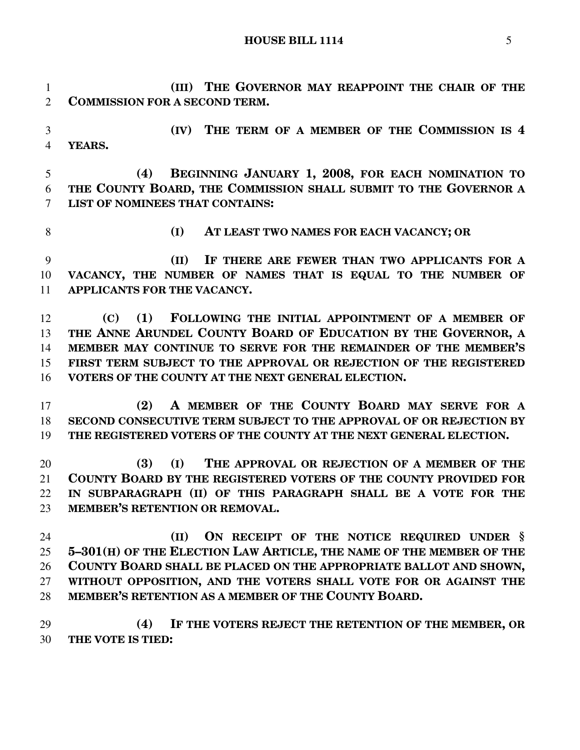**(III) THE GOVERNOR MAY REAPPOINT THE CHAIR OF THE COMMISSION FOR A SECOND TERM. (IV) THE TERM OF A MEMBER OF THE COMMISSION IS 4 YEARS. (4) BEGINNING JANUARY 1, 2008, FOR EACH NOMINATION TO THE COUNTY BOARD, THE COMMISSION SHALL SUBMIT TO THE GOVERNOR A LIST OF NOMINEES THAT CONTAINS: (I) AT LEAST TWO NAMES FOR EACH VACANCY; OR (II) IF THERE ARE FEWER THAN TWO APPLICANTS FOR A VACANCY, THE NUMBER OF NAMES THAT IS EQUAL TO THE NUMBER OF APPLICANTS FOR THE VACANCY. (C) (1) FOLLOWING THE INITIAL APPOINTMENT OF A MEMBER OF THE ANNE ARUNDEL COUNTY BOARD OF EDUCATION BY THE GOVERNOR, A MEMBER MAY CONTINUE TO SERVE FOR THE REMAINDER OF THE MEMBER'S FIRST TERM SUBJECT TO THE APPROVAL OR REJECTION OF THE REGISTERED VOTERS OF THE COUNTY AT THE NEXT GENERAL ELECTION. (2) A MEMBER OF THE COUNTY BOARD MAY SERVE FOR A SECOND CONSECUTIVE TERM SUBJECT TO THE APPROVAL OF OR REJECTION BY THE REGISTERED VOTERS OF THE COUNTY AT THE NEXT GENERAL ELECTION. (3) (I) THE APPROVAL OR REJECTION OF A MEMBER OF THE COUNTY BOARD BY THE REGISTERED VOTERS OF THE COUNTY PROVIDED FOR IN SUBPARAGRAPH (II) OF THIS PARAGRAPH SHALL BE A VOTE FOR THE MEMBER'S RETENTION OR REMOVAL. (II) ON RECEIPT OF THE NOTICE REQUIRED UNDER § 5–301(H) OF THE ELECTION LAW ARTICLE, THE NAME OF THE MEMBER OF THE COUNTY BOARD SHALL BE PLACED ON THE APPROPRIATE BALLOT AND SHOWN, WITHOUT OPPOSITION, AND THE VOTERS SHALL VOTE FOR OR AGAINST THE MEMBER'S RETENTION AS A MEMBER OF THE COUNTY BOARD. (4) IF THE VOTERS REJECT THE RETENTION OF THE MEMBER, OR THE VOTE IS TIED:**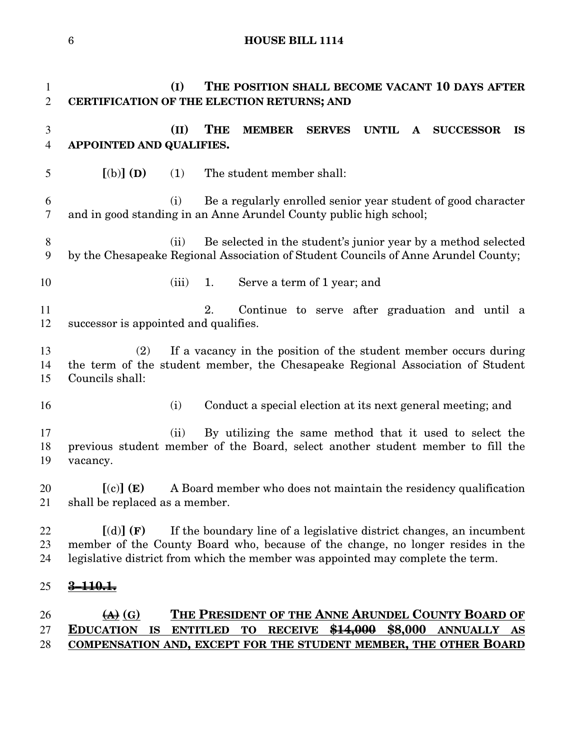### **HOUSE BILL 1114**

 **(I) THE POSITION SHALL BECOME VACANT 10 DAYS AFTER CERTIFICATION OF THE ELECTION RETURNS; AND (II) THE MEMBER SERVES UNTIL A SUCCESSOR IS APPOINTED AND QUALIFIES. [**(b)**] (D)** (1) The student member shall: (i) Be a regularly enrolled senior year student of good character and in good standing in an Anne Arundel County public high school; (ii) Be selected in the student's junior year by a method selected by the Chesapeake Regional Association of Student Councils of Anne Arundel County; (iii) 1. Serve a term of 1 year; and 2. Continue to serve after graduation and until a successor is appointed and qualifies. (2) If a vacancy in the position of the student member occurs during the term of the student member, the Chesapeake Regional Association of Student Councils shall: (i) Conduct a special election at its next general meeting; and (ii) By utilizing the same method that it used to select the previous student member of the Board, select another student member to fill the vacancy. **[**(c)**] (E)** A Board member who does not maintain the residency qualification shall be replaced as a member. **[**(d)**] (F)** If the boundary line of a legislative district changes, an incumbent member of the County Board who, because of the change, no longer resides in the legislative district from which the member was appointed may complete the term. **3–110.1. (A) (G) THE PRESIDENT OF THE ANNE ARUNDEL COUNTY BOARD OF EDUCATION IS ENTITLED TO RECEIVE \$14,000 \$8,000 ANNUALLY AS COMPENSATION AND, EXCEPT FOR THE STUDENT MEMBER, THE OTHER BOARD**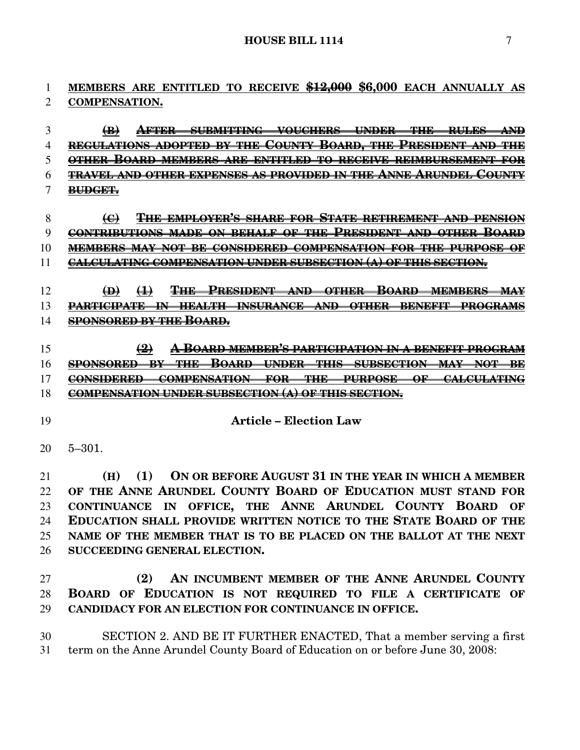**MEMBERS ARE ENTITLED TO RECEIVE \$12,000 \$6,000 EACH ANNUALLY AS COMPENSATION.**

 **(B) AFTER SUBMITTING VOUCHERS UNDER THE RULES AND REGULATIONS ADOPTED BY THE COUNTY BOARD, THE PRESIDENT AND THE OTHER BOARD MEMBERS ARE ENTITLED TO RECEIVE REIMBURSEMENT FOR TRAVEL AND OTHER EXPENSES AS PROVIDED IN THE ANNE ARUNDEL COUNTY BUDGET.**

- **(C) THE EMPLOYER'S SHARE FOR STATE RETIREMENT AND PENSION CONTRIBUTIONS MADE ON BEHALF OF THE PRESIDENT AND OTHER BOARD MEMBERS MAY NOT BE CONSIDERED COMPENSATION FOR THE PURPOSE OF**
- **CALCULATING COMPENSATION UNDER SUBSECTION (A) OF THIS SECTION.**

 **(D) (1) THE PRESIDENT AND OTHER BOARD MEMBERS MAY PARTICIPATE IN HEALTH INSURANCE AND OTHER BENEFIT PROGRAMS SPONSORED BY THE BOARD.**

 **(2) A BOARD MEMBER'S PARTICIPATION IN A BENEFIT PROGRAM SPONSORED BY THE BOARD UNDER THIS SUBSECTION MAY NOT BE CONSIDERED COMPENSATION FOR THE PURPOSE OF CALCULATING COMPENSATION UNDER SUBSECTION (A) OF THIS SECTION.**

- 
- **Article – Election Law**

5–301.

 **(H) (1) ON OR BEFORE AUGUST 31 IN THE YEAR IN WHICH A MEMBER OF THE ANNE ARUNDEL COUNTY BOARD OF EDUCATION MUST STAND FOR CONTINUANCE IN OFFICE, THE ANNE ARUNDEL COUNTY BOARD OF EDUCATION SHALL PROVIDE WRITTEN NOTICE TO THE STATE BOARD OF THE NAME OF THE MEMBER THAT IS TO BE PLACED ON THE BALLOT AT THE NEXT SUCCEEDING GENERAL ELECTION.**

 **(2) AN INCUMBENT MEMBER OF THE ANNE ARUNDEL COUNTY BOARD OF EDUCATION IS NOT REQUIRED TO FILE A CERTIFICATE OF CANDIDACY FOR AN ELECTION FOR CONTINUANCE IN OFFICE.**

 SECTION 2. AND BE IT FURTHER ENACTED, That a member serving a first term on the Anne Arundel County Board of Education on or before June 30, 2008: